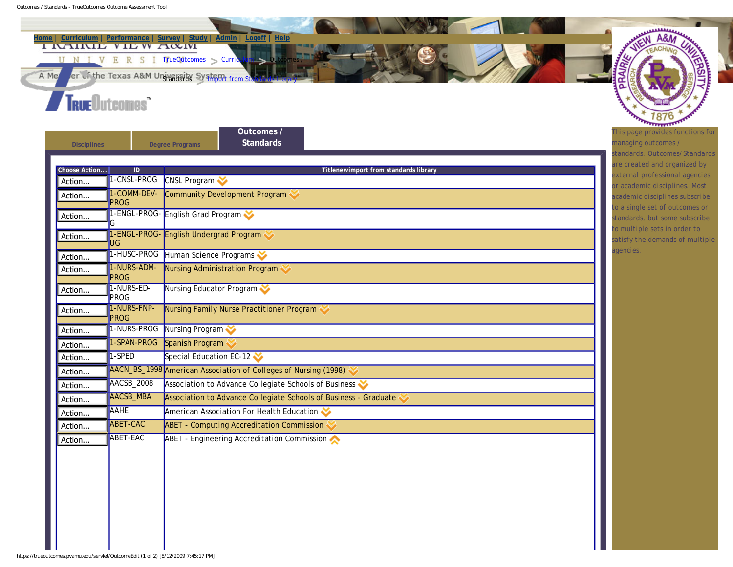

**[Disciplines](https://trueoutcomes.pvamu.edu/servlet/DisciplineEdit) [Degree Programs](https://trueoutcomes.pvamu.edu/servlet/DisciplineEdit?crud=1&crud2=5&page=9&subject=GENED)** 

**[Standards](https://trueoutcomes.pvamu.edu/servlet/OutcomeEdit?)**

**[Outcomes /](https://trueoutcomes.pvamu.edu/servlet/OutcomeEdit?)** 

| Choose Action | $\overline{ID}$            | Titlenewimport from standards library                            |  |  |  |  |
|---------------|----------------------------|------------------------------------------------------------------|--|--|--|--|
| Action        | 1-CNSL-PROG                | <b>CNSL Program</b>                                              |  |  |  |  |
| Action        | 1-COMM-DEV-<br><b>PROG</b> | Community Development Program                                    |  |  |  |  |
| Action        | ľG                         | 1-ENGL-PROG- English Grad Program                                |  |  |  |  |
| Action        | lug.                       | 1-ENGL-PROG- English Undergrad Program                           |  |  |  |  |
| Action        | 1-HUSC-PROG                | Human Science Programs                                           |  |  |  |  |
| Action        | 1-NURS-ADM-<br>PROG        | Nursing Administration Program                                   |  |  |  |  |
| Action        | 1-NURS-ED-<br>PROG         | Nursing Educator Program                                         |  |  |  |  |
| Action        | 1-NURS-FNP-<br>PROG        | Nursing Family Nurse Practitioner Program                        |  |  |  |  |
| Action        | 1-NURS-PROG                | Nursing Program                                                  |  |  |  |  |
| Action        | 1-SPAN-PROG                | Spanish Program                                                  |  |  |  |  |
| Action        | 1-SPED                     | Special Education EC-12                                          |  |  |  |  |
| Action        |                            | AACN_BS_1998 American Association of Colleges of Nursing (1998)  |  |  |  |  |
| Action        | AACSB_2008                 | Association to Advance Collegiate Schools of Business            |  |  |  |  |
| Action        | <b>AACSB_MBA</b>           | Association to Advance Collegiate Schools of Business - Graduate |  |  |  |  |
| Action        | <b>AAHE</b>                | American Association For Health Education                        |  |  |  |  |
| Action        | <b>ABET-CAC</b>            | <b>ABET - Computing Accreditation Commission</b>                 |  |  |  |  |
| Action        | <b>ABET-EAC</b>            | ABET - Engineering Accreditation Commission                      |  |  |  |  |

*This page provides functions for managing outcomes / standards. Outcomes/Standards are created and organized by external professional agencies or academic disciplines. Most academic disciplines subscribe to a single set of outcomes or standards, but some subscribe to multiple sets in order to satisfy the demands of multiple agencies.*